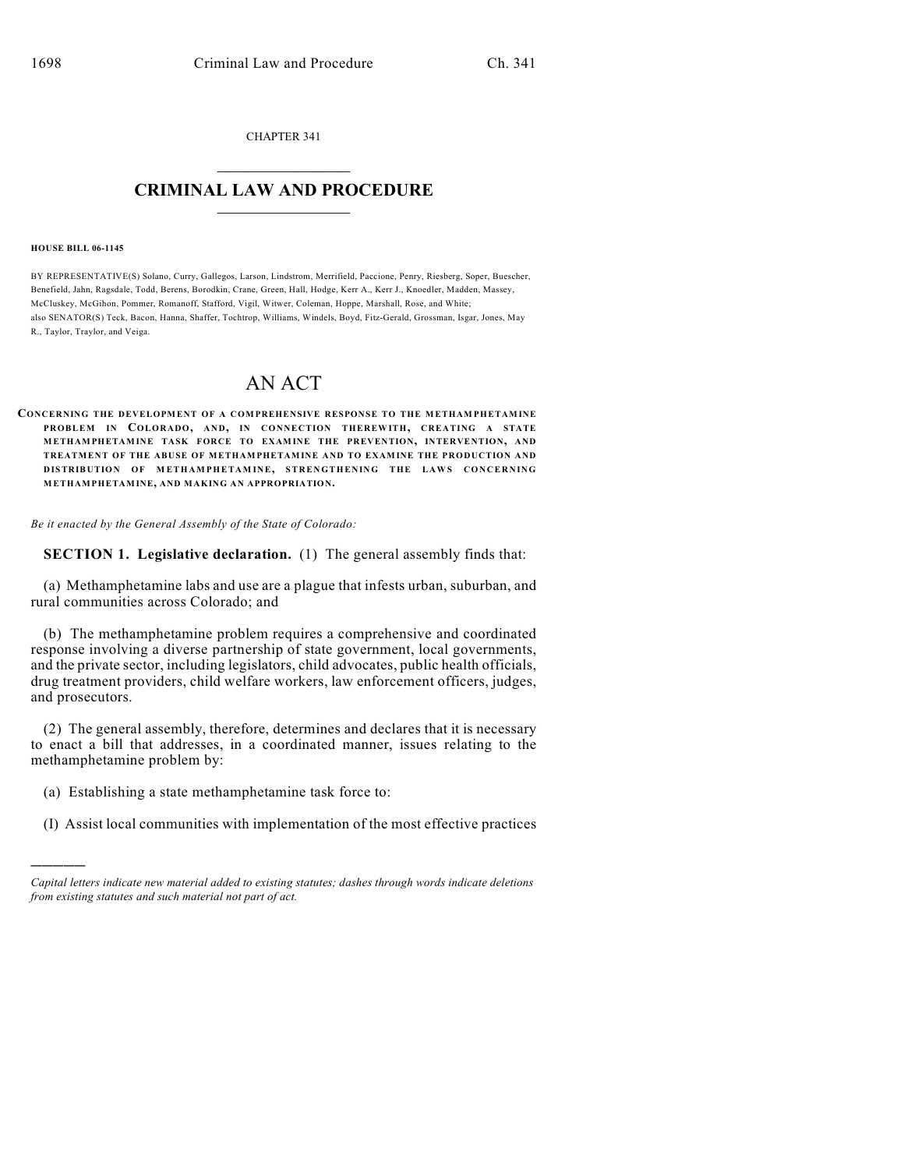CHAPTER 341  $\overline{\phantom{a}}$  . The set of the set of the set of the set of the set of the set of the set of the set of the set of the set of the set of the set of the set of the set of the set of the set of the set of the set of the set o

## **CRIMINAL LAW AND PROCEDURE**  $\frac{1}{2}$  ,  $\frac{1}{2}$  ,  $\frac{1}{2}$  ,  $\frac{1}{2}$  ,  $\frac{1}{2}$  ,  $\frac{1}{2}$  ,  $\frac{1}{2}$

#### **HOUSE BILL 06-1145**

)))))

BY REPRESENTATIVE(S) Solano, Curry, Gallegos, Larson, Lindstrom, Merrifield, Paccione, Penry, Riesberg, Soper, Buescher, Benefield, Jahn, Ragsdale, Todd, Berens, Borodkin, Crane, Green, Hall, Hodge, Kerr A., Kerr J., Knoedler, Madden, Massey, McCluskey, McGihon, Pommer, Romanoff, Stafford, Vigil, Witwer, Coleman, Hoppe, Marshall, Rose, and White; also SENATOR(S) Teck, Bacon, Hanna, Shaffer, Tochtrop, Williams, Windels, Boyd, Fitz-Gerald, Grossman, Isgar, Jones, May R., Taylor, Traylor, and Veiga.

# AN ACT

**CONCERNING THE DEVELOPMENT OF A COMPREHENSIVE RESPONSE TO THE METHAM PHETAM INE PROBLEM IN COLORADO, AND, IN CONNECTION THEREWITH, CREATING A STATE METHAMPHETAMINE TASK FORCE TO EXAMINE THE PREVENTION, INTERVENTION, AND TREATMENT OF THE ABUSE OF METHAMPHETAMINE AND TO EXAMINE THE PRODUCTION AND D IS TRIB UTION OF M ETHAM PHETA M IN E, STRENGTHEN ING THE LA W S CONCERNIN G METHAMPHETAMINE, AND MAKING AN APPROPRIATION.**

*Be it enacted by the General Assembly of the State of Colorado:*

**SECTION 1. Legislative declaration.** (1) The general assembly finds that:

(a) Methamphetamine labs and use are a plague that infests urban, suburban, and rural communities across Colorado; and

(b) The methamphetamine problem requires a comprehensive and coordinated response involving a diverse partnership of state government, local governments, and the private sector, including legislators, child advocates, public health officials, drug treatment providers, child welfare workers, law enforcement officers, judges, and prosecutors.

(2) The general assembly, therefore, determines and declares that it is necessary to enact a bill that addresses, in a coordinated manner, issues relating to the methamphetamine problem by:

- (a) Establishing a state methamphetamine task force to:
- (I) Assist local communities with implementation of the most effective practices

*Capital letters indicate new material added to existing statutes; dashes through words indicate deletions from existing statutes and such material not part of act.*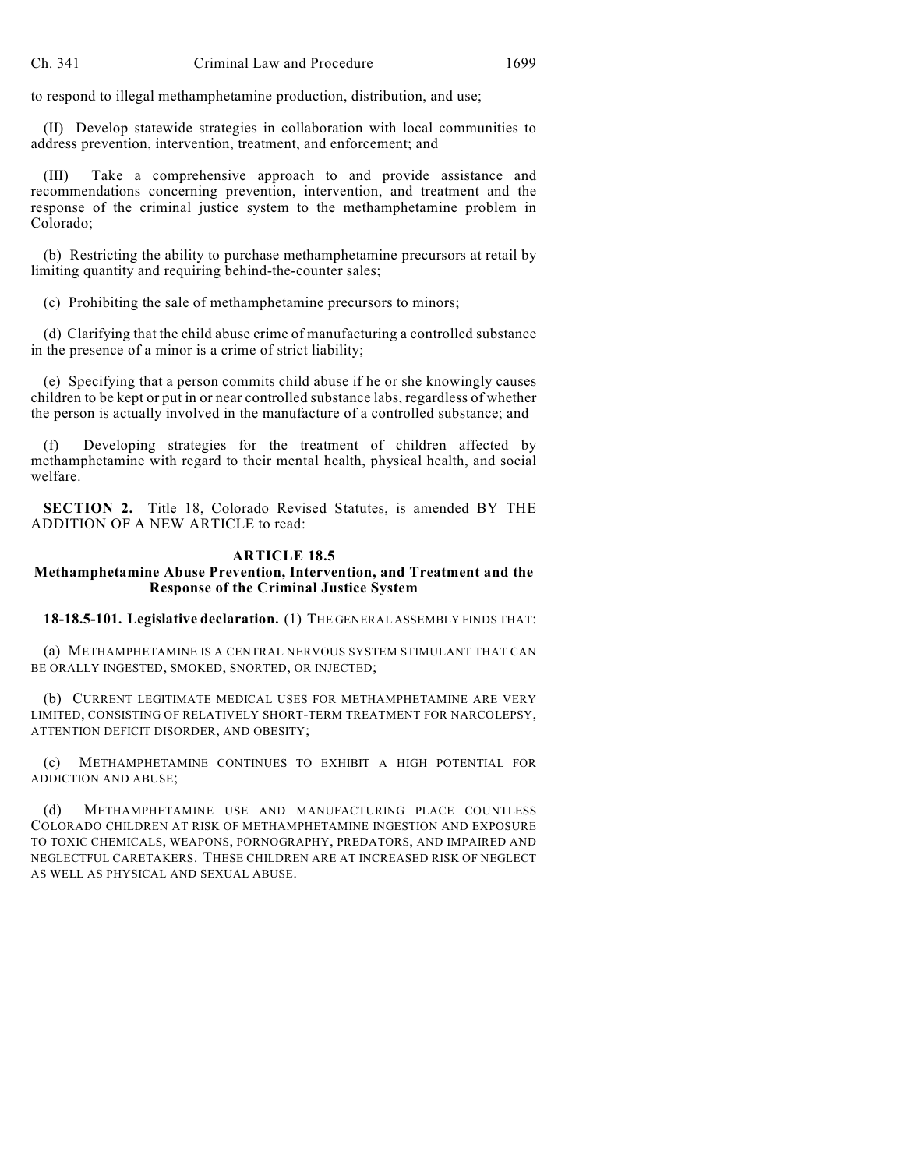to respond to illegal methamphetamine production, distribution, and use;

(II) Develop statewide strategies in collaboration with local communities to address prevention, intervention, treatment, and enforcement; and

(III) Take a comprehensive approach to and provide assistance and recommendations concerning prevention, intervention, and treatment and the response of the criminal justice system to the methamphetamine problem in Colorado;

(b) Restricting the ability to purchase methamphetamine precursors at retail by limiting quantity and requiring behind-the-counter sales;

(c) Prohibiting the sale of methamphetamine precursors to minors;

(d) Clarifying that the child abuse crime of manufacturing a controlled substance in the presence of a minor is a crime of strict liability;

(e) Specifying that a person commits child abuse if he or she knowingly causes children to be kept or put in or near controlled substance labs, regardless of whether the person is actually involved in the manufacture of a controlled substance; and

(f) Developing strategies for the treatment of children affected by methamphetamine with regard to their mental health, physical health, and social welfare.

**SECTION 2.** Title 18, Colorado Revised Statutes, is amended BY THE ADDITION OF A NEW ARTICLE to read:

### **ARTICLE 18.5**

### **Methamphetamine Abuse Prevention, Intervention, and Treatment and the Response of the Criminal Justice System**

**18-18.5-101. Legislative declaration.** (1) THE GENERAL ASSEMBLY FINDS THAT:

(a) METHAMPHETAMINE IS A CENTRAL NERVOUS SYSTEM STIMULANT THAT CAN BE ORALLY INGESTED, SMOKED, SNORTED, OR INJECTED;

(b) CURRENT LEGITIMATE MEDICAL USES FOR METHAMPHETAMINE ARE VERY LIMITED, CONSISTING OF RELATIVELY SHORT-TERM TREATMENT FOR NARCOLEPSY, ATTENTION DEFICIT DISORDER, AND OBESITY;

(c) METHAMPHETAMINE CONTINUES TO EXHIBIT A HIGH POTENTIAL FOR ADDICTION AND ABUSE;

(d) METHAMPHETAMINE USE AND MANUFACTURING PLACE COUNTLESS COLORADO CHILDREN AT RISK OF METHAMPHETAMINE INGESTION AND EXPOSURE TO TOXIC CHEMICALS, WEAPONS, PORNOGRAPHY, PREDATORS, AND IMPAIRED AND NEGLECTFUL CARETAKERS. THESE CHILDREN ARE AT INCREASED RISK OF NEGLECT AS WELL AS PHYSICAL AND SEXUAL ABUSE.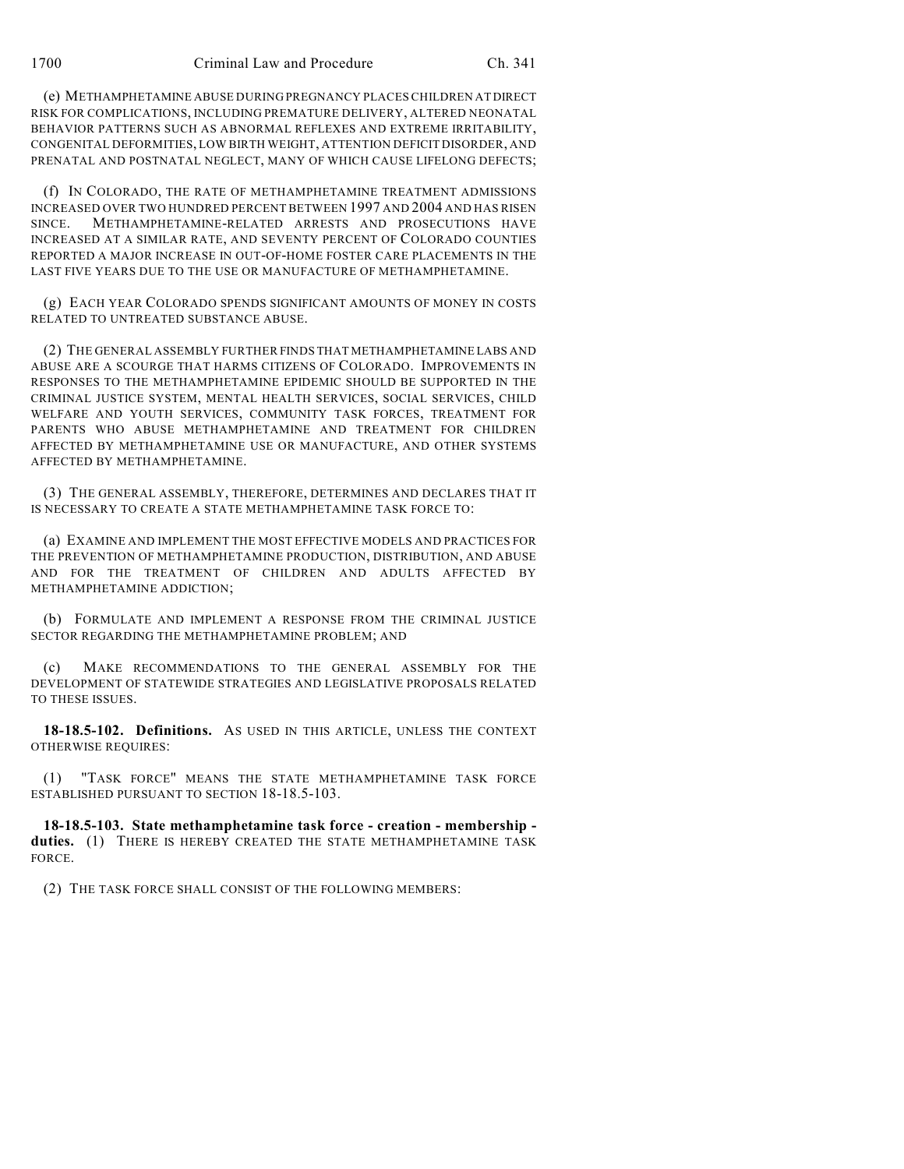(e) METHAMPHETAMINE ABUSE DURING PREGNANCY PLACES CHILDREN AT DIRECT RISK FOR COMPLICATIONS, INCLUDING PREMATURE DELIVERY, ALTERED NEONATAL BEHAVIOR PATTERNS SUCH AS ABNORMAL REFLEXES AND EXTREME IRRITABILITY, CONGENITAL DEFORMITIES, LOW BIRTH WEIGHT, ATTENTION DEFICIT DISORDER, AND PRENATAL AND POSTNATAL NEGLECT, MANY OF WHICH CAUSE LIFELONG DEFECTS;

(f) IN COLORADO, THE RATE OF METHAMPHETAMINE TREATMENT ADMISSIONS INCREASED OVER TWO HUNDRED PERCENT BETWEEN 1997 AND 2004 AND HAS RISEN SINCE. METHAMPHETAMINE-RELATED ARRESTS AND PROSECUTIONS HAVE INCREASED AT A SIMILAR RATE, AND SEVENTY PERCENT OF COLORADO COUNTIES REPORTED A MAJOR INCREASE IN OUT-OF-HOME FOSTER CARE PLACEMENTS IN THE LAST FIVE YEARS DUE TO THE USE OR MANUFACTURE OF METHAMPHETAMINE.

(g) EACH YEAR COLORADO SPENDS SIGNIFICANT AMOUNTS OF MONEY IN COSTS RELATED TO UNTREATED SUBSTANCE ABUSE.

(2) THE GENERAL ASSEMBLY FURTHER FINDS THAT METHAMPHETAMINE LABS AND ABUSE ARE A SCOURGE THAT HARMS CITIZENS OF COLORADO. IMPROVEMENTS IN RESPONSES TO THE METHAMPHETAMINE EPIDEMIC SHOULD BE SUPPORTED IN THE CRIMINAL JUSTICE SYSTEM, MENTAL HEALTH SERVICES, SOCIAL SERVICES, CHILD WELFARE AND YOUTH SERVICES, COMMUNITY TASK FORCES, TREATMENT FOR PARENTS WHO ABUSE METHAMPHETAMINE AND TREATMENT FOR CHILDREN AFFECTED BY METHAMPHETAMINE USE OR MANUFACTURE, AND OTHER SYSTEMS AFFECTED BY METHAMPHETAMINE.

(3) THE GENERAL ASSEMBLY, THEREFORE, DETERMINES AND DECLARES THAT IT IS NECESSARY TO CREATE A STATE METHAMPHETAMINE TASK FORCE TO:

(a) EXAMINE AND IMPLEMENT THE MOST EFFECTIVE MODELS AND PRACTICES FOR THE PREVENTION OF METHAMPHETAMINE PRODUCTION, DISTRIBUTION, AND ABUSE AND FOR THE TREATMENT OF CHILDREN AND ADULTS AFFECTED BY METHAMPHETAMINE ADDICTION;

(b) FORMULATE AND IMPLEMENT A RESPONSE FROM THE CRIMINAL JUSTICE SECTOR REGARDING THE METHAMPHETAMINE PROBLEM; AND

(c) MAKE RECOMMENDATIONS TO THE GENERAL ASSEMBLY FOR THE DEVELOPMENT OF STATEWIDE STRATEGIES AND LEGISLATIVE PROPOSALS RELATED TO THESE ISSUES.

**18-18.5-102. Definitions.** AS USED IN THIS ARTICLE, UNLESS THE CONTEXT OTHERWISE REQUIRES:

(1) "TASK FORCE" MEANS THE STATE METHAMPHETAMINE TASK FORCE ESTABLISHED PURSUANT TO SECTION 18-18.5-103.

**18-18.5-103. State methamphetamine task force - creation - membership duties.** (1) THERE IS HEREBY CREATED THE STATE METHAMPHETAMINE TASK FORCE.

(2) THE TASK FORCE SHALL CONSIST OF THE FOLLOWING MEMBERS: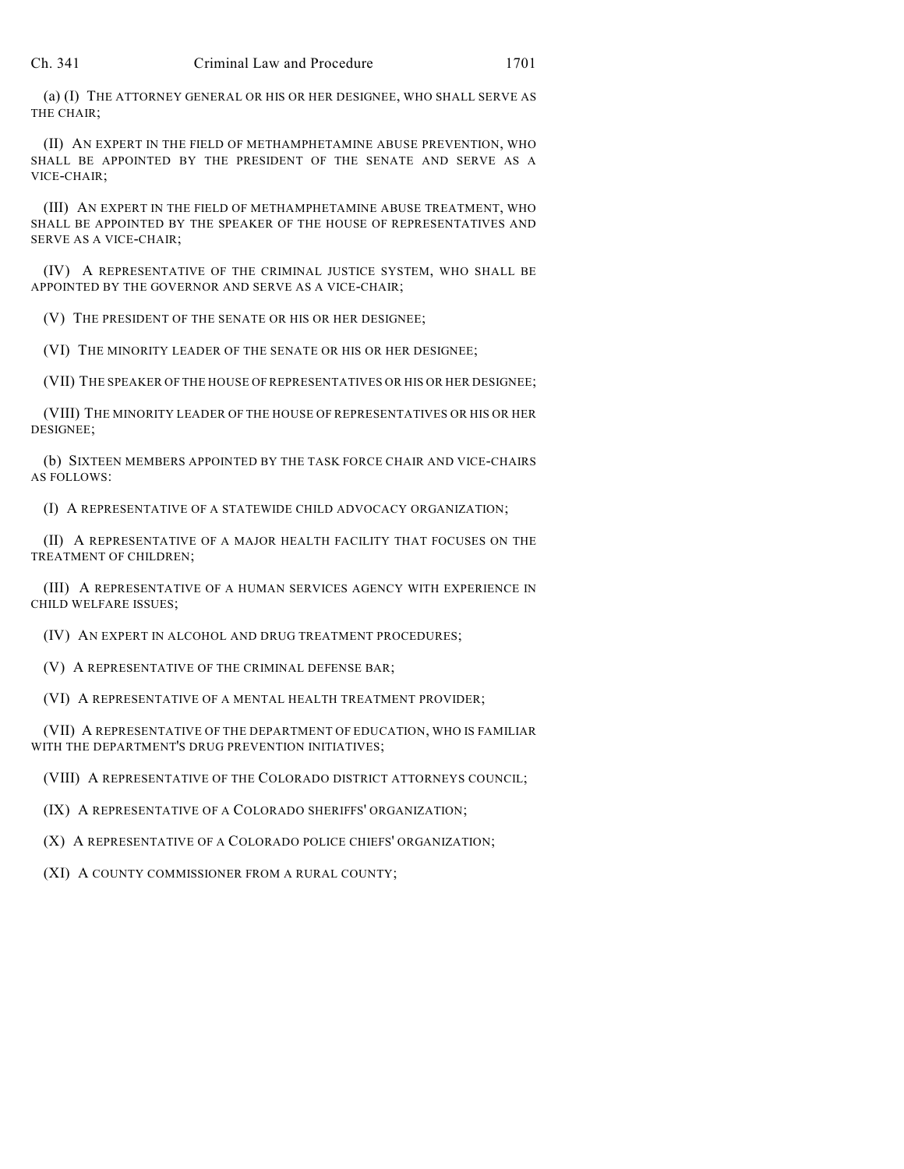(a) (I) THE ATTORNEY GENERAL OR HIS OR HER DESIGNEE, WHO SHALL SERVE AS THE CHAIR;

(II) AN EXPERT IN THE FIELD OF METHAMPHETAMINE ABUSE PREVENTION, WHO SHALL BE APPOINTED BY THE PRESIDENT OF THE SENATE AND SERVE AS A VICE-CHAIR;

(III) AN EXPERT IN THE FIELD OF METHAMPHETAMINE ABUSE TREATMENT, WHO SHALL BE APPOINTED BY THE SPEAKER OF THE HOUSE OF REPRESENTATIVES AND SERVE AS A VICE-CHAIR;

(IV) A REPRESENTATIVE OF THE CRIMINAL JUSTICE SYSTEM, WHO SHALL BE APPOINTED BY THE GOVERNOR AND SERVE AS A VICE-CHAIR;

(V) THE PRESIDENT OF THE SENATE OR HIS OR HER DESIGNEE;

(VI) THE MINORITY LEADER OF THE SENATE OR HIS OR HER DESIGNEE;

(VII) THE SPEAKER OF THE HOUSE OF REPRESENTATIVES OR HIS OR HER DESIGNEE;

(VIII) THE MINORITY LEADER OF THE HOUSE OF REPRESENTATIVES OR HIS OR HER DESIGNEE;

(b) SIXTEEN MEMBERS APPOINTED BY THE TASK FORCE CHAIR AND VICE-CHAIRS AS FOLLOWS:

(I) A REPRESENTATIVE OF A STATEWIDE CHILD ADVOCACY ORGANIZATION;

(II) A REPRESENTATIVE OF A MAJOR HEALTH FACILITY THAT FOCUSES ON THE TREATMENT OF CHILDREN;

(III) A REPRESENTATIVE OF A HUMAN SERVICES AGENCY WITH EXPERIENCE IN CHILD WELFARE ISSUES;

(IV) AN EXPERT IN ALCOHOL AND DRUG TREATMENT PROCEDURES;

(V) A REPRESENTATIVE OF THE CRIMINAL DEFENSE BAR;

(VI) A REPRESENTATIVE OF A MENTAL HEALTH TREATMENT PROVIDER;

(VII) A REPRESENTATIVE OF THE DEPARTMENT OF EDUCATION, WHO IS FAMILIAR WITH THE DEPARTMENT'S DRUG PREVENTION INITIATIVES;

(VIII) A REPRESENTATIVE OF THE COLORADO DISTRICT ATTORNEYS COUNCIL;

(IX) A REPRESENTATIVE OF A COLORADO SHERIFFS' ORGANIZATION;

(X) A REPRESENTATIVE OF A COLORADO POLICE CHIEFS' ORGANIZATION;

(XI) A COUNTY COMMISSIONER FROM A RURAL COUNTY;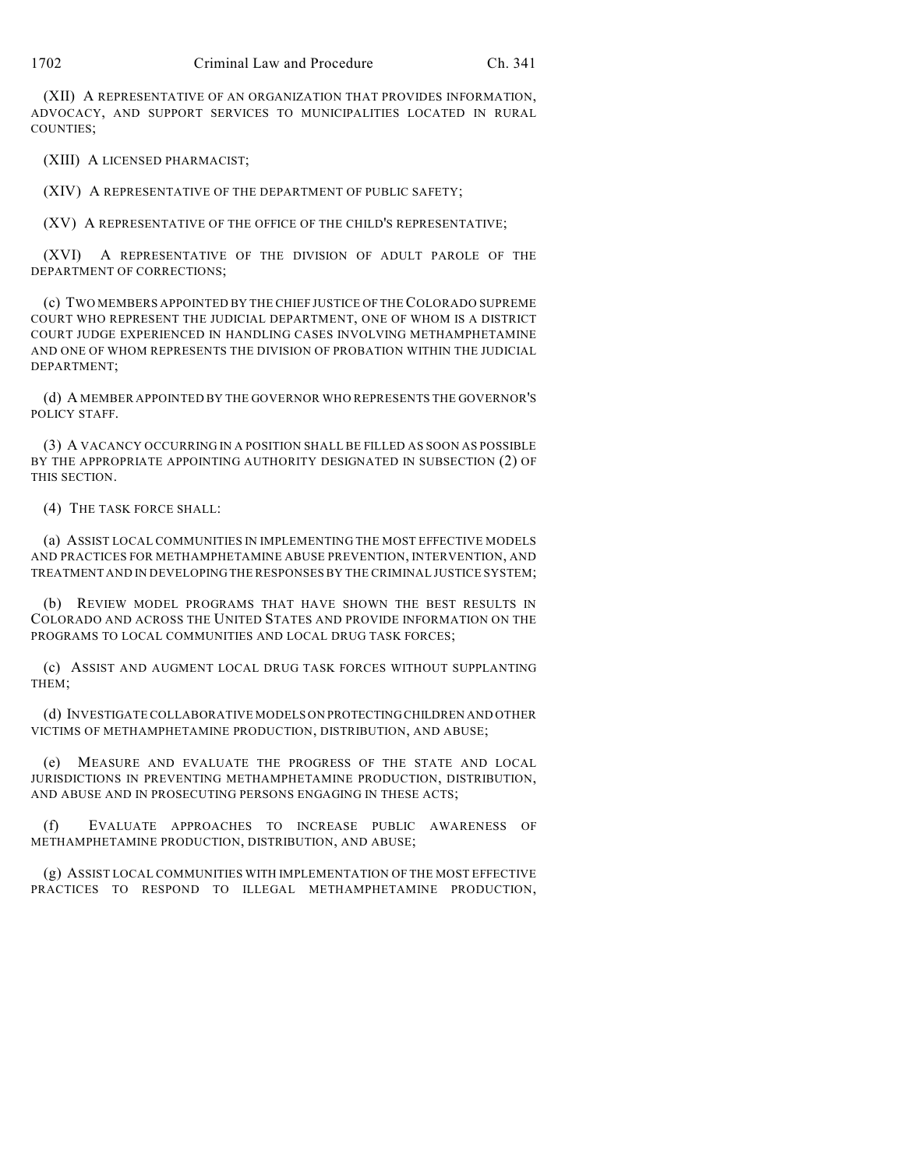(XII) A REPRESENTATIVE OF AN ORGANIZATION THAT PROVIDES INFORMATION, ADVOCACY, AND SUPPORT SERVICES TO MUNICIPALITIES LOCATED IN RURAL COUNTIES;

(XIII) A LICENSED PHARMACIST;

(XIV) A REPRESENTATIVE OF THE DEPARTMENT OF PUBLIC SAFETY;

(XV) A REPRESENTATIVE OF THE OFFICE OF THE CHILD'S REPRESENTATIVE;

(XVI) A REPRESENTATIVE OF THE DIVISION OF ADULT PAROLE OF THE DEPARTMENT OF CORRECTIONS;

(c) TWO MEMBERS APPOINTED BY THE CHIEF JUSTICE OF THE COLORADO SUPREME COURT WHO REPRESENT THE JUDICIAL DEPARTMENT, ONE OF WHOM IS A DISTRICT COURT JUDGE EXPERIENCED IN HANDLING CASES INVOLVING METHAMPHETAMINE AND ONE OF WHOM REPRESENTS THE DIVISION OF PROBATION WITHIN THE JUDICIAL DEPARTMENT;

(d) A MEMBER APPOINTED BY THE GOVERNOR WHO REPRESENTS THE GOVERNOR'S POLICY STAFF.

(3) A VACANCY OCCURRING IN A POSITION SHALL BE FILLED AS SOON AS POSSIBLE BY THE APPROPRIATE APPOINTING AUTHORITY DESIGNATED IN SUBSECTION (2) OF THIS SECTION.

(4) THE TASK FORCE SHALL:

(a) ASSIST LOCAL COMMUNITIES IN IMPLEMENTING THE MOST EFFECTIVE MODELS AND PRACTICES FOR METHAMPHETAMINE ABUSE PREVENTION, INTERVENTION, AND TREATMENT AND IN DEVELOPING THE RESPONSES BY THE CRIMINAL JUSTICE SYSTEM;

(b) REVIEW MODEL PROGRAMS THAT HAVE SHOWN THE BEST RESULTS IN COLORADO AND ACROSS THE UNITED STATES AND PROVIDE INFORMATION ON THE PROGRAMS TO LOCAL COMMUNITIES AND LOCAL DRUG TASK FORCES;

(c) ASSIST AND AUGMENT LOCAL DRUG TASK FORCES WITHOUT SUPPLANTING THEM;

(d) INVESTIGATE COLLABORATIVE MODELS ON PROTECTING CHILDREN AND OTHER VICTIMS OF METHAMPHETAMINE PRODUCTION, DISTRIBUTION, AND ABUSE;

(e) MEASURE AND EVALUATE THE PROGRESS OF THE STATE AND LOCAL JURISDICTIONS IN PREVENTING METHAMPHETAMINE PRODUCTION, DISTRIBUTION, AND ABUSE AND IN PROSECUTING PERSONS ENGAGING IN THESE ACTS;

(f) EVALUATE APPROACHES TO INCREASE PUBLIC AWARENESS OF METHAMPHETAMINE PRODUCTION, DISTRIBUTION, AND ABUSE;

(g) ASSIST LOCAL COMMUNITIES WITH IMPLEMENTATION OF THE MOST EFFECTIVE PRACTICES TO RESPOND TO ILLEGAL METHAMPHETAMINE PRODUCTION,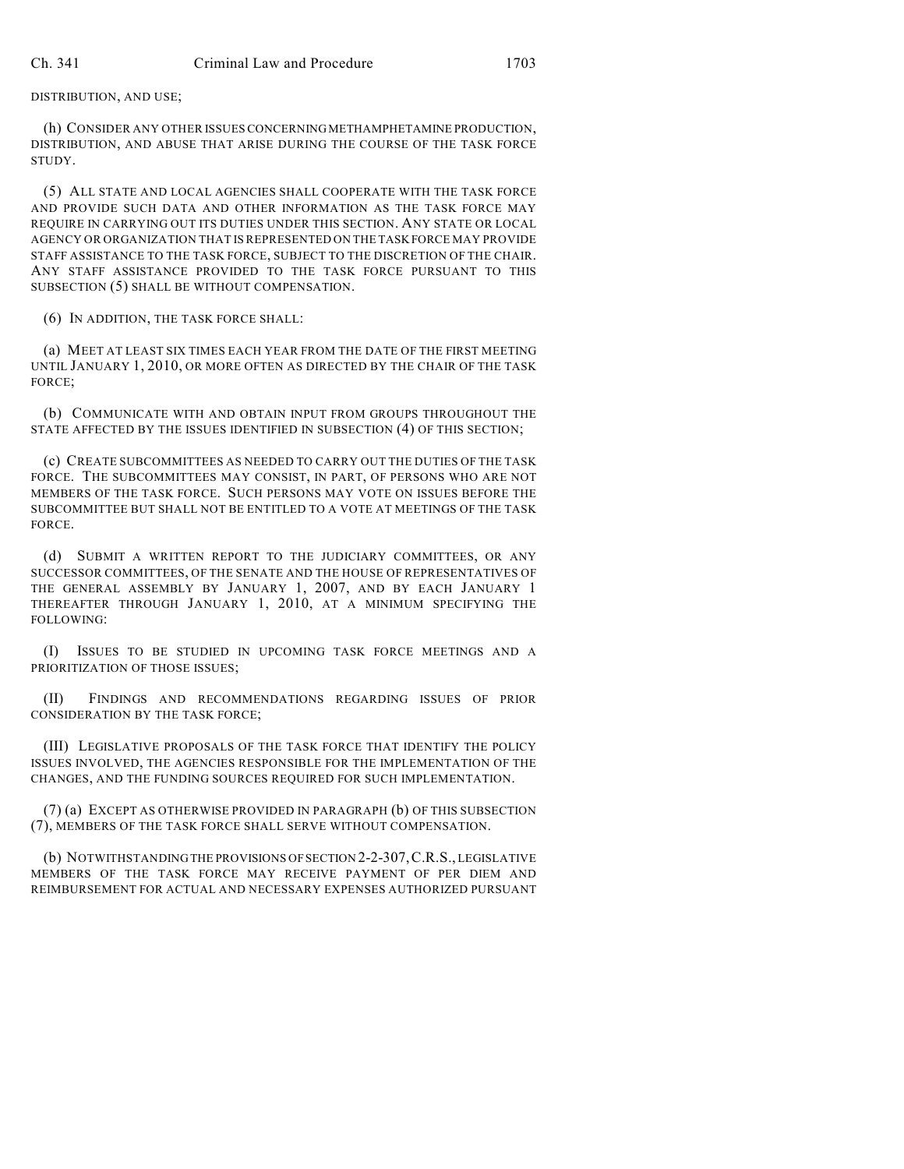DISTRIBUTION, AND USE;

(h) CONSIDER ANY OTHER ISSUES CONCERNING METHAMPHETAMINE PRODUCTION, DISTRIBUTION, AND ABUSE THAT ARISE DURING THE COURSE OF THE TASK FORCE STUDY.

(5) ALL STATE AND LOCAL AGENCIES SHALL COOPERATE WITH THE TASK FORCE AND PROVIDE SUCH DATA AND OTHER INFORMATION AS THE TASK FORCE MAY REQUIRE IN CARRYING OUT ITS DUTIES UNDER THIS SECTION. ANY STATE OR LOCAL AGENCY OR ORGANIZATION THAT IS REPRESENTED ON THE TASK FORCE MAY PROVIDE STAFF ASSISTANCE TO THE TASK FORCE, SUBJECT TO THE DISCRETION OF THE CHAIR. ANY STAFF ASSISTANCE PROVIDED TO THE TASK FORCE PURSUANT TO THIS SUBSECTION (5) SHALL BE WITHOUT COMPENSATION.

(6) IN ADDITION, THE TASK FORCE SHALL:

(a) MEET AT LEAST SIX TIMES EACH YEAR FROM THE DATE OF THE FIRST MEETING UNTIL JANUARY 1, 2010, OR MORE OFTEN AS DIRECTED BY THE CHAIR OF THE TASK FORCE;

(b) COMMUNICATE WITH AND OBTAIN INPUT FROM GROUPS THROUGHOUT THE STATE AFFECTED BY THE ISSUES IDENTIFIED IN SUBSECTION (4) OF THIS SECTION;

(c) CREATE SUBCOMMITTEES AS NEEDED TO CARRY OUT THE DUTIES OF THE TASK FORCE. THE SUBCOMMITTEES MAY CONSIST, IN PART, OF PERSONS WHO ARE NOT MEMBERS OF THE TASK FORCE. SUCH PERSONS MAY VOTE ON ISSUES BEFORE THE SUBCOMMITTEE BUT SHALL NOT BE ENTITLED TO A VOTE AT MEETINGS OF THE TASK FORCE.

(d) SUBMIT A WRITTEN REPORT TO THE JUDICIARY COMMITTEES, OR ANY SUCCESSOR COMMITTEES, OF THE SENATE AND THE HOUSE OF REPRESENTATIVES OF THE GENERAL ASSEMBLY BY JANUARY 1, 2007, AND BY EACH JANUARY 1 THEREAFTER THROUGH JANUARY 1, 2010, AT A MINIMUM SPECIFYING THE FOLLOWING:

(I) ISSUES TO BE STUDIED IN UPCOMING TASK FORCE MEETINGS AND A PRIORITIZATION OF THOSE ISSUES;

(II) FINDINGS AND RECOMMENDATIONS REGARDING ISSUES OF PRIOR CONSIDERATION BY THE TASK FORCE;

(III) LEGISLATIVE PROPOSALS OF THE TASK FORCE THAT IDENTIFY THE POLICY ISSUES INVOLVED, THE AGENCIES RESPONSIBLE FOR THE IMPLEMENTATION OF THE CHANGES, AND THE FUNDING SOURCES REQUIRED FOR SUCH IMPLEMENTATION.

(7) (a) EXCEPT AS OTHERWISE PROVIDED IN PARAGRAPH (b) OF THIS SUBSECTION (7), MEMBERS OF THE TASK FORCE SHALL SERVE WITHOUT COMPENSATION.

(b) NOTWITHSTANDING THE PROVISIONS OF SECTION 2-2-307,C.R.S., LEGISLATIVE MEMBERS OF THE TASK FORCE MAY RECEIVE PAYMENT OF PER DIEM AND REIMBURSEMENT FOR ACTUAL AND NECESSARY EXPENSES AUTHORIZED PURSUANT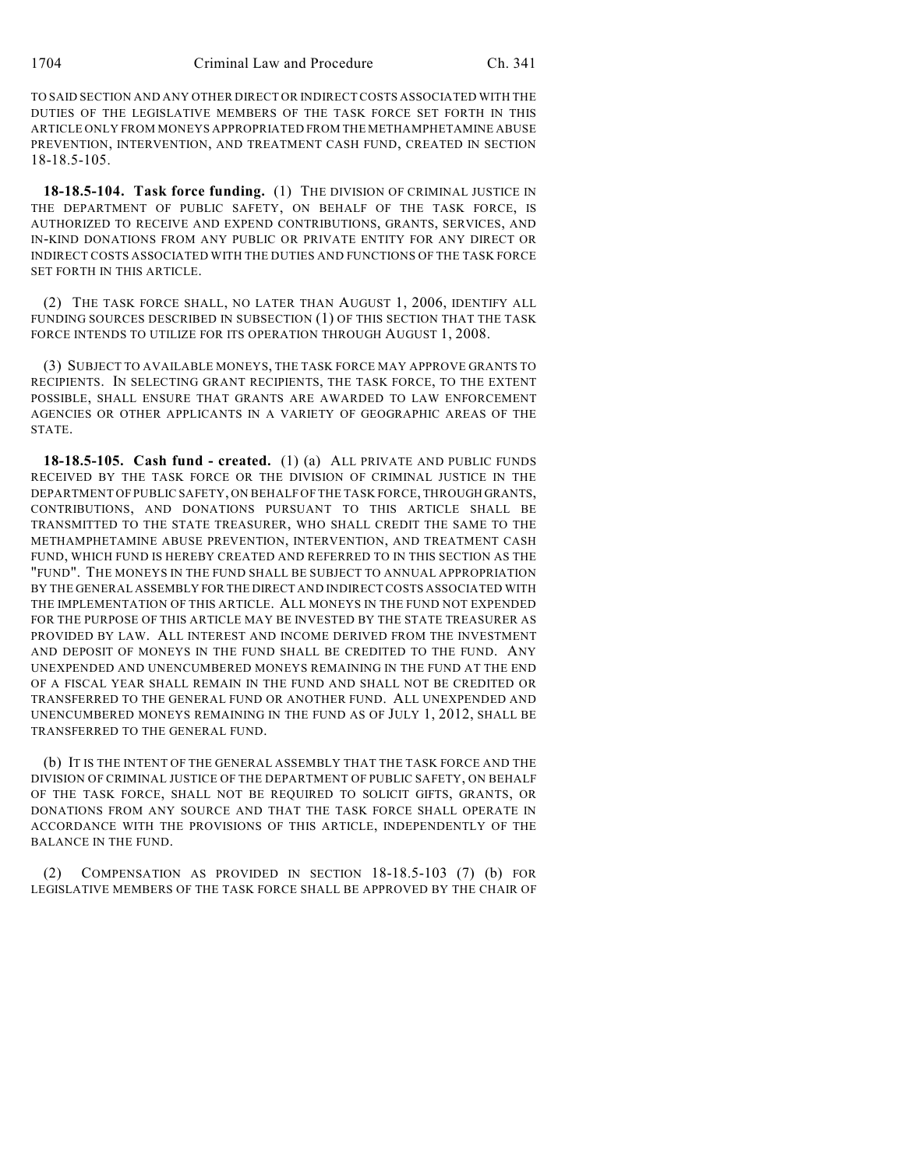TO SAID SECTION AND ANY OTHER DIRECT OR INDIRECT COSTS ASSOCIATED WITH THE DUTIES OF THE LEGISLATIVE MEMBERS OF THE TASK FORCE SET FORTH IN THIS ARTICLE ONLY FROM MONEYS APPROPRIATED FROM THE METHAMPHETAMINE ABUSE PREVENTION, INTERVENTION, AND TREATMENT CASH FUND, CREATED IN SECTION 18-18.5-105.

**18-18.5-104. Task force funding.** (1) THE DIVISION OF CRIMINAL JUSTICE IN THE DEPARTMENT OF PUBLIC SAFETY, ON BEHALF OF THE TASK FORCE, IS AUTHORIZED TO RECEIVE AND EXPEND CONTRIBUTIONS, GRANTS, SERVICES, AND IN-KIND DONATIONS FROM ANY PUBLIC OR PRIVATE ENTITY FOR ANY DIRECT OR INDIRECT COSTS ASSOCIATED WITH THE DUTIES AND FUNCTIONS OF THE TASK FORCE SET FORTH IN THIS ARTICLE.

(2) THE TASK FORCE SHALL, NO LATER THAN AUGUST 1, 2006, IDENTIFY ALL FUNDING SOURCES DESCRIBED IN SUBSECTION (1) OF THIS SECTION THAT THE TASK FORCE INTENDS TO UTILIZE FOR ITS OPERATION THROUGH AUGUST 1, 2008.

(3) SUBJECT TO AVAILABLE MONEYS, THE TASK FORCE MAY APPROVE GRANTS TO RECIPIENTS. IN SELECTING GRANT RECIPIENTS, THE TASK FORCE, TO THE EXTENT POSSIBLE, SHALL ENSURE THAT GRANTS ARE AWARDED TO LAW ENFORCEMENT AGENCIES OR OTHER APPLICANTS IN A VARIETY OF GEOGRAPHIC AREAS OF THE STATE.

**18-18.5-105. Cash fund - created.** (1) (a) ALL PRIVATE AND PUBLIC FUNDS RECEIVED BY THE TASK FORCE OR THE DIVISION OF CRIMINAL JUSTICE IN THE DEPARTMENT OF PUBLIC SAFETY, ON BEHALF OF THE TASK FORCE, THROUGH GRANTS, CONTRIBUTIONS, AND DONATIONS PURSUANT TO THIS ARTICLE SHALL BE TRANSMITTED TO THE STATE TREASURER, WHO SHALL CREDIT THE SAME TO THE METHAMPHETAMINE ABUSE PREVENTION, INTERVENTION, AND TREATMENT CASH FUND, WHICH FUND IS HEREBY CREATED AND REFERRED TO IN THIS SECTION AS THE "FUND". THE MONEYS IN THE FUND SHALL BE SUBJECT TO ANNUAL APPROPRIATION BY THE GENERAL ASSEMBLY FOR THE DIRECT AND INDIRECT COSTS ASSOCIATED WITH THE IMPLEMENTATION OF THIS ARTICLE. ALL MONEYS IN THE FUND NOT EXPENDED FOR THE PURPOSE OF THIS ARTICLE MAY BE INVESTED BY THE STATE TREASURER AS PROVIDED BY LAW. ALL INTEREST AND INCOME DERIVED FROM THE INVESTMENT AND DEPOSIT OF MONEYS IN THE FUND SHALL BE CREDITED TO THE FUND. ANY UNEXPENDED AND UNENCUMBERED MONEYS REMAINING IN THE FUND AT THE END OF A FISCAL YEAR SHALL REMAIN IN THE FUND AND SHALL NOT BE CREDITED OR TRANSFERRED TO THE GENERAL FUND OR ANOTHER FUND. ALL UNEXPENDED AND UNENCUMBERED MONEYS REMAINING IN THE FUND AS OF JULY 1, 2012, SHALL BE TRANSFERRED TO THE GENERAL FUND.

(b) IT IS THE INTENT OF THE GENERAL ASSEMBLY THAT THE TASK FORCE AND THE DIVISION OF CRIMINAL JUSTICE OF THE DEPARTMENT OF PUBLIC SAFETY, ON BEHALF OF THE TASK FORCE, SHALL NOT BE REQUIRED TO SOLICIT GIFTS, GRANTS, OR DONATIONS FROM ANY SOURCE AND THAT THE TASK FORCE SHALL OPERATE IN ACCORDANCE WITH THE PROVISIONS OF THIS ARTICLE, INDEPENDENTLY OF THE BALANCE IN THE FUND.

(2) COMPENSATION AS PROVIDED IN SECTION 18-18.5-103 (7) (b) FOR LEGISLATIVE MEMBERS OF THE TASK FORCE SHALL BE APPROVED BY THE CHAIR OF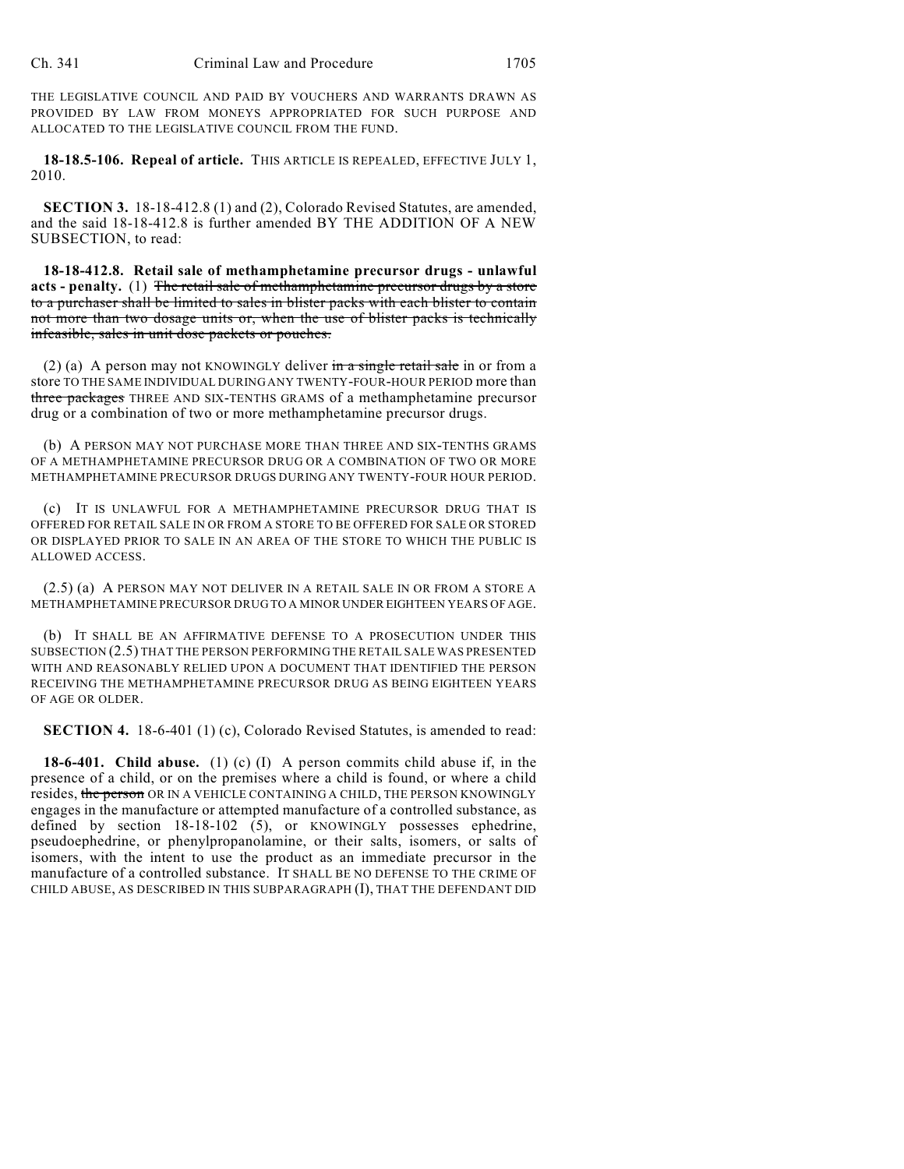THE LEGISLATIVE COUNCIL AND PAID BY VOUCHERS AND WARRANTS DRAWN AS PROVIDED BY LAW FROM MONEYS APPROPRIATED FOR SUCH PURPOSE AND ALLOCATED TO THE LEGISLATIVE COUNCIL FROM THE FUND.

**18-18.5-106. Repeal of article.** THIS ARTICLE IS REPEALED, EFFECTIVE JULY 1, 2010.

**SECTION 3.** 18-18-412.8 (1) and (2), Colorado Revised Statutes, are amended, and the said 18-18-412.8 is further amended BY THE ADDITION OF A NEW SUBSECTION, to read:

**18-18-412.8. Retail sale of methamphetamine precursor drugs - unlawful acts - penalty.** (1) The retail sale of methamphetamine precursor drugs by a store to a purchaser shall be limited to sales in blister packs with each blister to contain not more than two dosage units or, when the use of blister packs is technically infeasible, sales in unit dose packets or pouches.

(2) (a) A person may not KNOWINGLY deliver  $\frac{1}{2}$  in  $\frac{1}{2}$  as  $\frac{1}{2}$  as  $\frac{1}{2}$  in or from a store TO THE SAME INDIVIDUAL DURING ANY TWENTY-FOUR-HOUR PERIOD more than three packages THREE AND SIX-TENTHS GRAMS of a methamphetamine precursor drug or a combination of two or more methamphetamine precursor drugs.

(b) A PERSON MAY NOT PURCHASE MORE THAN THREE AND SIX-TENTHS GRAMS OF A METHAMPHETAMINE PRECURSOR DRUG OR A COMBINATION OF TWO OR MORE METHAMPHETAMINE PRECURSOR DRUGS DURING ANY TWENTY-FOUR HOUR PERIOD.

(c) IT IS UNLAWFUL FOR A METHAMPHETAMINE PRECURSOR DRUG THAT IS OFFERED FOR RETAIL SALE IN OR FROM A STORE TO BE OFFERED FOR SALE OR STORED OR DISPLAYED PRIOR TO SALE IN AN AREA OF THE STORE TO WHICH THE PUBLIC IS ALLOWED ACCESS.

(2.5) (a) A PERSON MAY NOT DELIVER IN A RETAIL SALE IN OR FROM A STORE A METHAMPHETAMINE PRECURSOR DRUG TO A MINOR UNDER EIGHTEEN YEARS OF AGE.

(b) IT SHALL BE AN AFFIRMATIVE DEFENSE TO A PROSECUTION UNDER THIS SUBSECTION (2.5) THAT THE PERSON PERFORMING THE RETAIL SALE WAS PRESENTED WITH AND REASONABLY RELIED UPON A DOCUMENT THAT IDENTIFIED THE PERSON RECEIVING THE METHAMPHETAMINE PRECURSOR DRUG AS BEING EIGHTEEN YEARS OF AGE OR OLDER.

**SECTION 4.** 18-6-401 (1) (c), Colorado Revised Statutes, is amended to read:

**18-6-401. Child abuse.** (1) (c) (I) A person commits child abuse if, in the presence of a child, or on the premises where a child is found, or where a child resides, the person OR IN A VEHICLE CONTAINING A CHILD, THE PERSON KNOWINGLY engages in the manufacture or attempted manufacture of a controlled substance, as defined by section 18-18-102 (5), or KNOWINGLY possesses ephedrine, pseudoephedrine, or phenylpropanolamine, or their salts, isomers, or salts of isomers, with the intent to use the product as an immediate precursor in the manufacture of a controlled substance. IT SHALL BE NO DEFENSE TO THE CRIME OF CHILD ABUSE, AS DESCRIBED IN THIS SUBPARAGRAPH (I), THAT THE DEFENDANT DID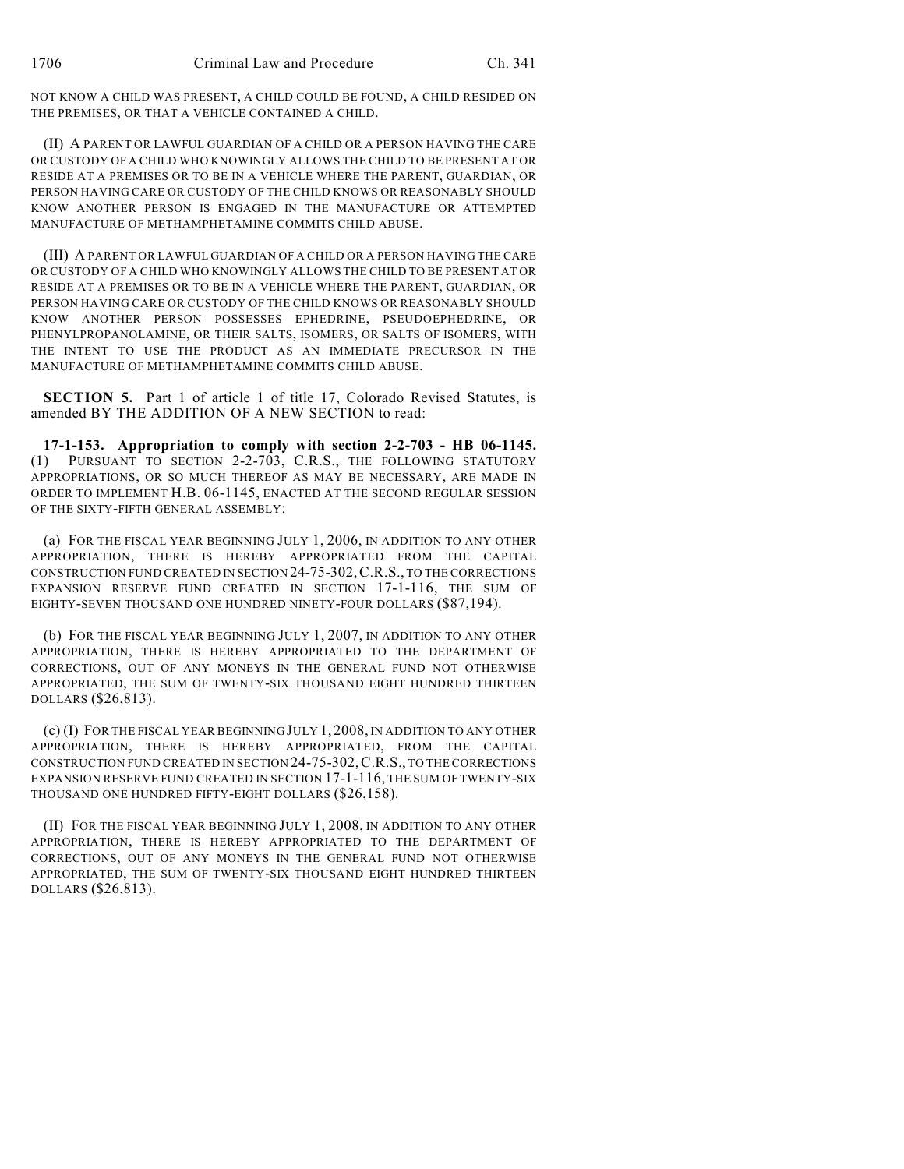NOT KNOW A CHILD WAS PRESENT, A CHILD COULD BE FOUND, A CHILD RESIDED ON THE PREMISES, OR THAT A VEHICLE CONTAINED A CHILD.

(II) A PARENT OR LAWFUL GUARDIAN OF A CHILD OR A PERSON HAVING THE CARE OR CUSTODY OF A CHILD WHO KNOWINGLY ALLOWS THE CHILD TO BE PRESENT AT OR RESIDE AT A PREMISES OR TO BE IN A VEHICLE WHERE THE PARENT, GUARDIAN, OR PERSON HAVING CARE OR CUSTODY OF THE CHILD KNOWS OR REASONABLY SHOULD KNOW ANOTHER PERSON IS ENGAGED IN THE MANUFACTURE OR ATTEMPTED MANUFACTURE OF METHAMPHETAMINE COMMITS CHILD ABUSE.

(III) A PARENT OR LAWFUL GUARDIAN OF A CHILD OR A PERSON HAVING THE CARE OR CUSTODY OF A CHILD WHO KNOWINGLY ALLOWS THE CHILD TO BE PRESENT AT OR RESIDE AT A PREMISES OR TO BE IN A VEHICLE WHERE THE PARENT, GUARDIAN, OR PERSON HAVING CARE OR CUSTODY OF THE CHILD KNOWS OR REASONABLY SHOULD KNOW ANOTHER PERSON POSSESSES EPHEDRINE, PSEUDOEPHEDRINE, OR PHENYLPROPANOLAMINE, OR THEIR SALTS, ISOMERS, OR SALTS OF ISOMERS, WITH THE INTENT TO USE THE PRODUCT AS AN IMMEDIATE PRECURSOR IN THE MANUFACTURE OF METHAMPHETAMINE COMMITS CHILD ABUSE.

**SECTION 5.** Part 1 of article 1 of title 17, Colorado Revised Statutes, is amended BY THE ADDITION OF A NEW SECTION to read:

**17-1-153. Appropriation to comply with section 2-2-703 - HB 06-1145.** (1) PURSUANT TO SECTION 2-2-703, C.R.S., THE FOLLOWING STATUTORY APPROPRIATIONS, OR SO MUCH THEREOF AS MAY BE NECESSARY, ARE MADE IN ORDER TO IMPLEMENT H.B. 06-1145, ENACTED AT THE SECOND REGULAR SESSION OF THE SIXTY-FIFTH GENERAL ASSEMBLY:

(a) FOR THE FISCAL YEAR BEGINNING JULY 1, 2006, IN ADDITION TO ANY OTHER APPROPRIATION, THERE IS HEREBY APPROPRIATED FROM THE CAPITAL CONSTRUCTION FUND CREATED IN SECTION 24-75-302,C.R.S., TO THE CORRECTIONS EXPANSION RESERVE FUND CREATED IN SECTION 17-1-116, THE SUM OF EIGHTY-SEVEN THOUSAND ONE HUNDRED NINETY-FOUR DOLLARS (\$87,194).

(b) FOR THE FISCAL YEAR BEGINNING JULY 1, 2007, IN ADDITION TO ANY OTHER APPROPRIATION, THERE IS HEREBY APPROPRIATED TO THE DEPARTMENT OF CORRECTIONS, OUT OF ANY MONEYS IN THE GENERAL FUND NOT OTHERWISE APPROPRIATED, THE SUM OF TWENTY-SIX THOUSAND EIGHT HUNDRED THIRTEEN DOLLARS (\$26,813).

(c) (I) FOR THE FISCAL YEAR BEGINNING JULY 1, 2008, IN ADDITION TO ANY OTHER APPROPRIATION, THERE IS HEREBY APPROPRIATED, FROM THE CAPITAL CONSTRUCTION FUND CREATED IN SECTION 24-75-302,C.R.S., TO THE CORRECTIONS EXPANSION RESERVE FUND CREATED IN SECTION 17-1-116, THE SUM OF TWENTY-SIX THOUSAND ONE HUNDRED FIFTY-EIGHT DOLLARS (\$26,158).

(II) FOR THE FISCAL YEAR BEGINNING JULY 1, 2008, IN ADDITION TO ANY OTHER APPROPRIATION, THERE IS HEREBY APPROPRIATED TO THE DEPARTMENT OF CORRECTIONS, OUT OF ANY MONEYS IN THE GENERAL FUND NOT OTHERWISE APPROPRIATED, THE SUM OF TWENTY-SIX THOUSAND EIGHT HUNDRED THIRTEEN DOLLARS (\$26,813).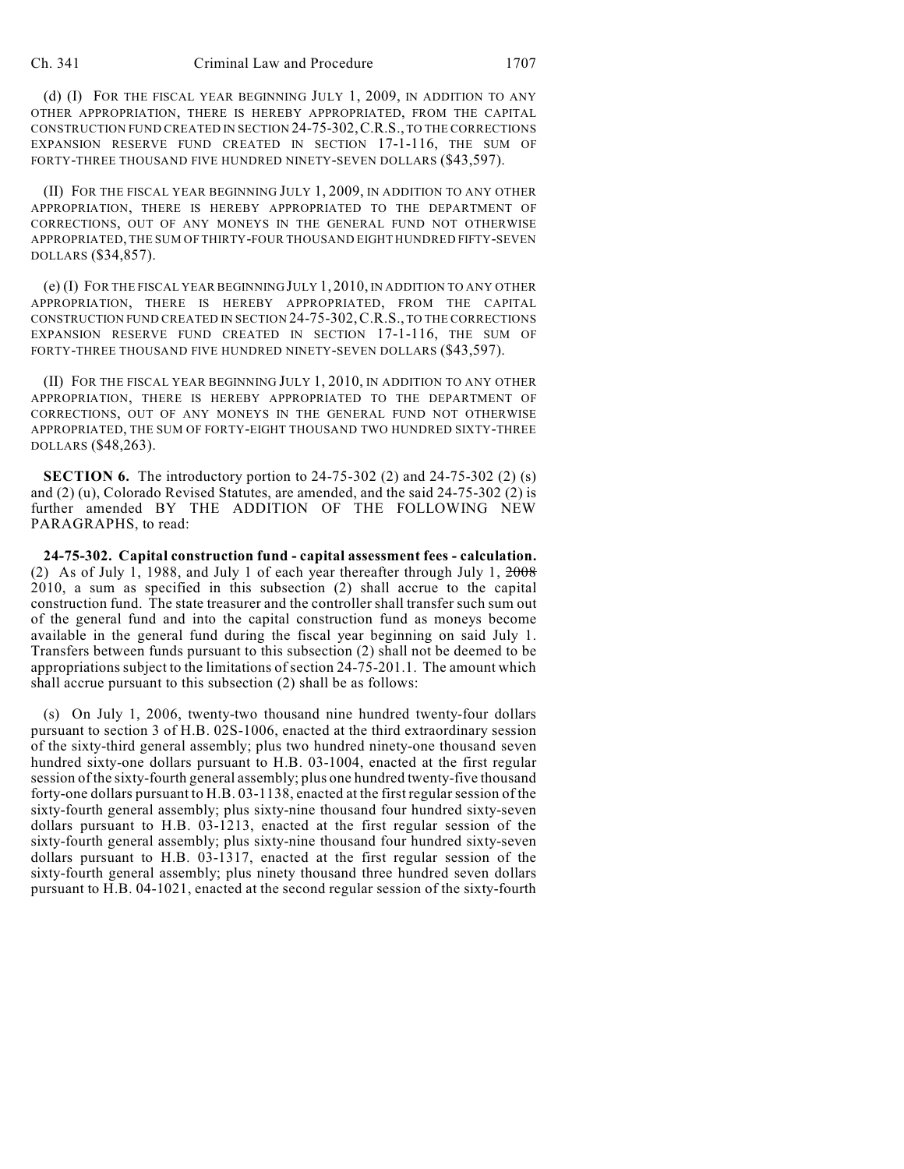(d) (I) FOR THE FISCAL YEAR BEGINNING JULY 1, 2009, IN ADDITION TO ANY OTHER APPROPRIATION, THERE IS HEREBY APPROPRIATED, FROM THE CAPITAL CONSTRUCTION FUND CREATED IN SECTION 24-75-302,C.R.S., TO THE CORRECTIONS EXPANSION RESERVE FUND CREATED IN SECTION 17-1-116, THE SUM OF FORTY-THREE THOUSAND FIVE HUNDRED NINETY-SEVEN DOLLARS (\$43,597).

(II) FOR THE FISCAL YEAR BEGINNING JULY 1, 2009, IN ADDITION TO ANY OTHER APPROPRIATION, THERE IS HEREBY APPROPRIATED TO THE DEPARTMENT OF CORRECTIONS, OUT OF ANY MONEYS IN THE GENERAL FUND NOT OTHERWISE APPROPRIATED, THE SUM OF THIRTY-FOUR THOUSAND EIGHT HUNDRED FIFTY-SEVEN DOLLARS (\$34,857).

(e) (I) FOR THE FISCAL YEAR BEGINNING JULY 1, 2010, IN ADDITION TO ANY OTHER APPROPRIATION, THERE IS HEREBY APPROPRIATED, FROM THE CAPITAL CONSTRUCTION FUND CREATED IN SECTION 24-75-302,C.R.S., TO THE CORRECTIONS EXPANSION RESERVE FUND CREATED IN SECTION 17-1-116, THE SUM OF FORTY-THREE THOUSAND FIVE HUNDRED NINETY-SEVEN DOLLARS (\$43,597).

(II) FOR THE FISCAL YEAR BEGINNING JULY 1, 2010, IN ADDITION TO ANY OTHER APPROPRIATION, THERE IS HEREBY APPROPRIATED TO THE DEPARTMENT OF CORRECTIONS, OUT OF ANY MONEYS IN THE GENERAL FUND NOT OTHERWISE APPROPRIATED, THE SUM OF FORTY-EIGHT THOUSAND TWO HUNDRED SIXTY-THREE DOLLARS (\$48,263).

**SECTION 6.** The introductory portion to 24-75-302 (2) and 24-75-302 (2) (s) and (2) (u), Colorado Revised Statutes, are amended, and the said 24-75-302 (2) is further amended BY THE ADDITION OF THE FOLLOWING NEW PARAGRAPHS, to read:

**24-75-302. Capital construction fund - capital assessment fees - calculation.** (2) As of July 1, 1988, and July 1 of each year thereafter through July 1, 2008 2010, a sum as specified in this subsection (2) shall accrue to the capital construction fund. The state treasurer and the controller shall transfer such sum out of the general fund and into the capital construction fund as moneys become available in the general fund during the fiscal year beginning on said July 1. Transfers between funds pursuant to this subsection (2) shall not be deemed to be appropriations subject to the limitations of section 24-75-201.1. The amount which shall accrue pursuant to this subsection (2) shall be as follows:

(s) On July 1, 2006, twenty-two thousand nine hundred twenty-four dollars pursuant to section 3 of H.B. 02S-1006, enacted at the third extraordinary session of the sixty-third general assembly; plus two hundred ninety-one thousand seven hundred sixty-one dollars pursuant to H.B. 03-1004, enacted at the first regular session of the sixty-fourth general assembly; plus one hundred twenty-five thousand forty-one dollars pursuant to H.B. 03-1138, enacted at the first regular session of the sixty-fourth general assembly; plus sixty-nine thousand four hundred sixty-seven dollars pursuant to H.B. 03-1213, enacted at the first regular session of the sixty-fourth general assembly; plus sixty-nine thousand four hundred sixty-seven dollars pursuant to H.B. 03-1317, enacted at the first regular session of the sixty-fourth general assembly; plus ninety thousand three hundred seven dollars pursuant to H.B. 04-1021, enacted at the second regular session of the sixty-fourth